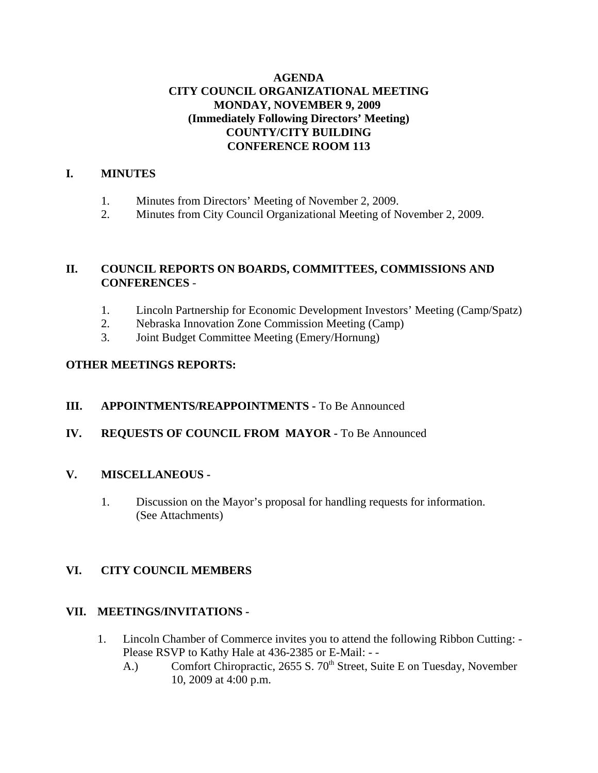## **AGENDA CITY COUNCIL ORGANIZATIONAL MEETING MONDAY, NOVEMBER 9, 2009 (Immediately Following Directors' Meeting) COUNTY/CITY BUILDING CONFERENCE ROOM 113**

## **I. MINUTES**

- 1. Minutes from Directors' Meeting of November 2, 2009.
- 2. Minutes from City Council Organizational Meeting of November 2, 2009.

# **II. COUNCIL REPORTS ON BOARDS, COMMITTEES, COMMISSIONS AND CONFERENCES** -

- 1. Lincoln Partnership for Economic Development Investors' Meeting (Camp/Spatz)
- 2. Nebraska Innovation Zone Commission Meeting (Camp)
- 3. Joint Budget Committee Meeting (Emery/Hornung)

## **OTHER MEETINGS REPORTS:**

- **III. APPOINTMENTS/REAPPOINTMENTS -** To Be Announced
- **IV. REQUESTS OF COUNCIL FROM MAYOR -** To Be Announced

#### **V. MISCELLANEOUS -**

1. Discussion on the Mayor's proposal for handling requests for information. (See Attachments)

## **VI. CITY COUNCIL MEMBERS**

## **VII. MEETINGS/INVITATIONS -**

- 1. Lincoln Chamber of Commerce invites you to attend the following Ribbon Cutting: Please RSVP to Kathy Hale at 436-2385 or E-Mail: - -
	- A.) Comfort Chiropractic, 2655 S. 70<sup>th</sup> Street, Suite E on Tuesday, November 10, 2009 at 4:00 p.m.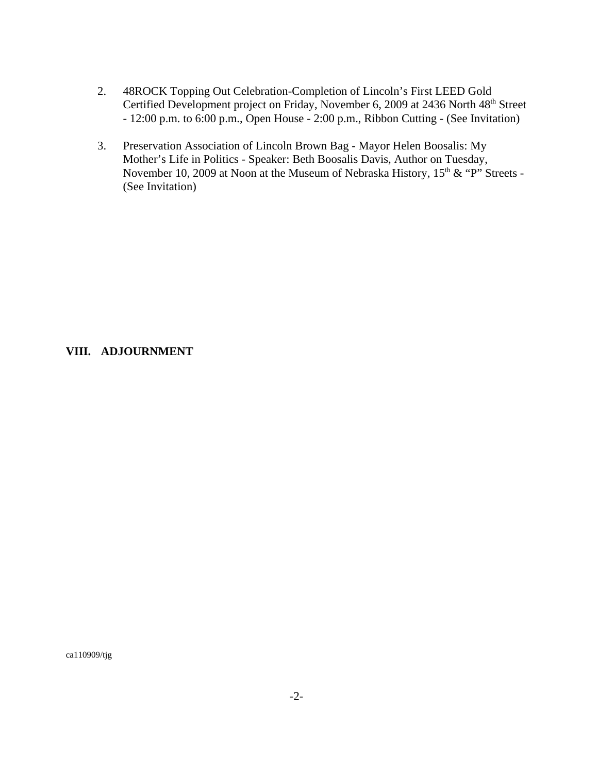- 2. 48ROCK Topping Out Celebration-Completion of Lincoln's First LEED Gold Certified Development project on Friday, November 6, 2009 at 2436 North 48<sup>th</sup> Street - 12:00 p.m. to 6:00 p.m., Open House - 2:00 p.m., Ribbon Cutting - (See Invitation)
- 3. Preservation Association of Lincoln Brown Bag Mayor Helen Boosalis: My Mother's Life in Politics - Speaker: Beth Boosalis Davis, Author on Tuesday, November 10, 2009 at Noon at the Museum of Nebraska History,  $15<sup>th</sup>$  & "P" Streets -(See Invitation)

#### **VIII. ADJOURNMENT**

ca110909/tjg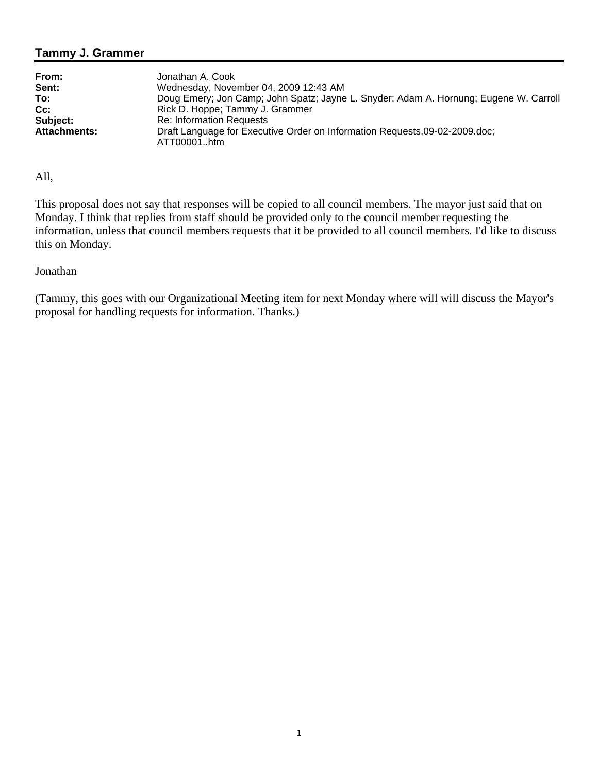# **Tammy J. Grammer**

| From:               | Jonathan A. Cook                                                                           |
|---------------------|--------------------------------------------------------------------------------------------|
| Sent:               | Wednesday, November 04, 2009 12:43 AM                                                      |
| To:                 | Doug Emery; Jon Camp; John Spatz; Jayne L. Snyder; Adam A. Hornung; Eugene W. Carroll      |
| Cc:                 | Rick D. Hoppe; Tammy J. Grammer                                                            |
| Subject:            | <b>Re: Information Requests</b>                                                            |
| <b>Attachments:</b> | Draft Language for Executive Order on Information Requests, 09-02-2009.doc;<br>ATT00001htm |

All,

This proposal does not say that responses will be copied to all council members. The mayor just said that on Monday. I think that replies from staff should be provided only to the council member requesting the information, unless that council members requests that it be provided to all council members. I'd like to discuss this on Monday.

#### Jonathan

(Tammy, this goes with our Organizational Meeting item for next Monday where will will discuss the Mayor's proposal for handling requests for information. Thanks.)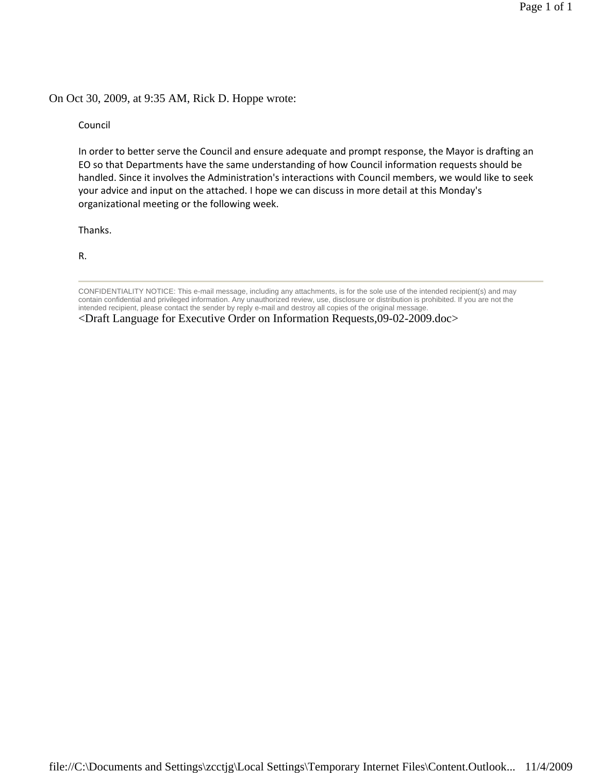#### On Oct 30, 2009, at 9:35 AM, Rick D. Hoppe wrote:

Council

In order to better serve the Council and ensure adequate and prompt response, the Mayor is drafting an EO so that Departments have the same understanding of how Council information requests should be handled. Since it involves the Administration's interactions with Council members, we would like to seek your advice and input on the attached. I hope we can discuss in more detail at this Monday's organizational meeting or the following week.

Thanks.

R.

CONFIDENTIALITY NOTICE: This e-mail message, including any attachments, is for the sole use of the intended recipient(s) and may contain confidential and privileged information. Any unauthorized review, use, disclosure or distribution is prohibited. If you are not the intended recipient, please contact the sender by reply e-mail and destroy all copies of the original message.

<sup>&</sup>lt;Draft Language for Executive Order on Information Requests,09-02-2009.doc>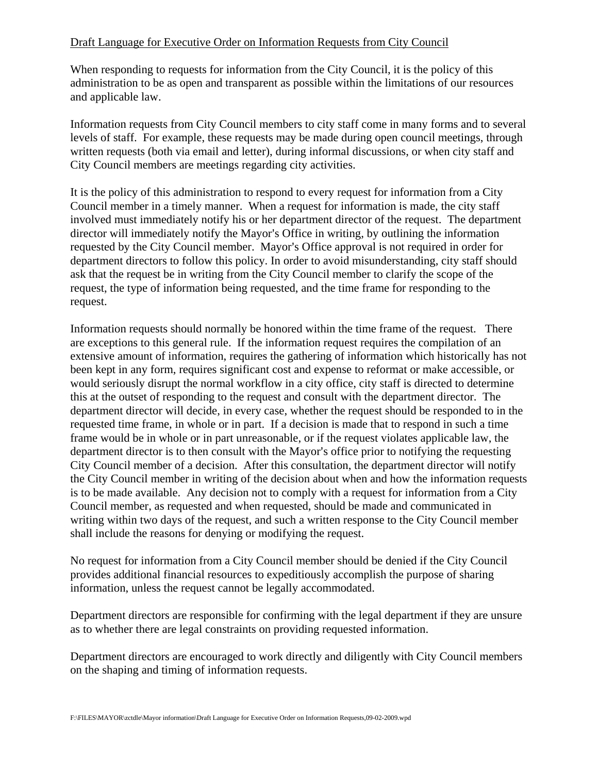### Draft Language for Executive Order on Information Requests from City Council

When responding to requests for information from the City Council, it is the policy of this administration to be as open and transparent as possible within the limitations of our resources and applicable law.

Information requests from City Council members to city staff come in many forms and to several levels of staff. For example, these requests may be made during open council meetings, through written requests (both via email and letter), during informal discussions, or when city staff and City Council members are meetings regarding city activities.

It is the policy of this administration to respond to every request for information from a City Council member in a timely manner. When a request for information is made, the city staff involved must immediately notify his or her department director of the request. The department director will immediately notify the Mayor's Office in writing, by outlining the information requested by the City Council member. Mayor's Office approval is not required in order for department directors to follow this policy. In order to avoid misunderstanding, city staff should ask that the request be in writing from the City Council member to clarify the scope of the request, the type of information being requested, and the time frame for responding to the request.

Information requests should normally be honored within the time frame of the request. There are exceptions to this general rule. If the information request requires the compilation of an extensive amount of information, requires the gathering of information which historically has not been kept in any form, requires significant cost and expense to reformat or make accessible, or would seriously disrupt the normal workflow in a city office, city staff is directed to determine this at the outset of responding to the request and consult with the department director. The department director will decide, in every case, whether the request should be responded to in the requested time frame, in whole or in part. If a decision is made that to respond in such a time frame would be in whole or in part unreasonable, or if the request violates applicable law, the department director is to then consult with the Mayor's office prior to notifying the requesting City Council member of a decision. After this consultation, the department director will notify the City Council member in writing of the decision about when and how the information requests is to be made available. Any decision not to comply with a request for information from a City Council member, as requested and when requested, should be made and communicated in writing within two days of the request, and such a written response to the City Council member shall include the reasons for denying or modifying the request.

No request for information from a City Council member should be denied if the City Council provides additional financial resources to expeditiously accomplish the purpose of sharing information, unless the request cannot be legally accommodated.

Department directors are responsible for confirming with the legal department if they are unsure as to whether there are legal constraints on providing requested information.

Department directors are encouraged to work directly and diligently with City Council members on the shaping and timing of information requests.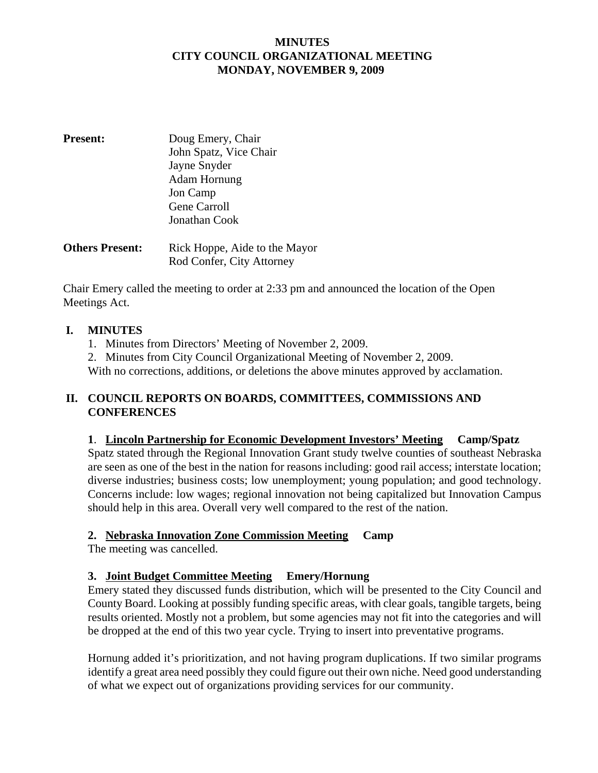### **MINUTES CITY COUNCIL ORGANIZATIONAL MEETING MONDAY, NOVEMBER 9, 2009**

| <b>Present:</b>        | Doug Emery, Chair             |
|------------------------|-------------------------------|
|                        | John Spatz, Vice Chair        |
|                        | Jayne Snyder                  |
|                        | Adam Hornung                  |
|                        | Jon Camp                      |
|                        | Gene Carroll                  |
|                        | Jonathan Cook                 |
| <b>Others Present:</b> | Rick Hoppe, Aide to the Mayor |
|                        | Rod Confer, City Attorney     |

Chair Emery called the meeting to order at 2:33 pm and announced the location of the Open Meetings Act.

## **I. MINUTES**

- 1. Minutes from Directors' Meeting of November 2, 2009.
- 2. Minutes from City Council Organizational Meeting of November 2, 2009.

With no corrections, additions, or deletions the above minutes approved by acclamation.

### **II. COUNCIL REPORTS ON BOARDS, COMMITTEES, COMMISSIONS AND CONFERENCES**

#### **1**. **Lincoln Partnership for Economic Development Investors' Meeting Camp/Spatz**

Spatz stated through the Regional Innovation Grant study twelve counties of southeast Nebraska are seen as one of the best in the nation for reasons including: good rail access; interstate location; diverse industries; business costs; low unemployment; young population; and good technology. Concerns include: low wages; regional innovation not being capitalized but Innovation Campus should help in this area. Overall very well compared to the rest of the nation.

## **2. Nebraska Innovation Zone Commission Meeting Camp**

The meeting was cancelled.

## **3. Joint Budget Committee Meeting Emery/Hornung**

Emery stated they discussed funds distribution, which will be presented to the City Council and County Board. Looking at possibly funding specific areas, with clear goals, tangible targets, being results oriented. Mostly not a problem, but some agencies may not fit into the categories and will be dropped at the end of this two year cycle. Trying to insert into preventative programs.

Hornung added it's prioritization, and not having program duplications. If two similar programs identify a great area need possibly they could figure out their own niche. Need good understanding of what we expect out of organizations providing services for our community.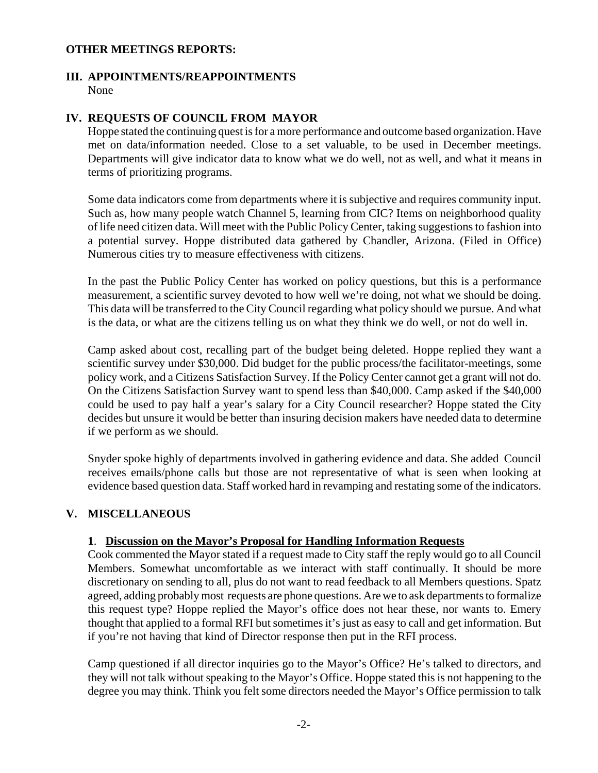#### **OTHER MEETINGS REPORTS:**

### **III. APPOINTMENTS/REAPPOINTMENTS**

None

#### **IV. REQUESTS OF COUNCIL FROM MAYOR**

Hoppe stated the continuing quest is for a more performance and outcome based organization. Have met on data/information needed. Close to a set valuable, to be used in December meetings. Departments will give indicator data to know what we do well, not as well, and what it means in terms of prioritizing programs.

Some data indicators come from departments where it is subjective and requires community input. Such as, how many people watch Channel 5, learning from CIC? Items on neighborhood quality of life need citizen data. Will meet with the Public Policy Center, taking suggestions to fashion into a potential survey. Hoppe distributed data gathered by Chandler, Arizona. (Filed in Office) Numerous cities try to measure effectiveness with citizens.

In the past the Public Policy Center has worked on policy questions, but this is a performance measurement, a scientific survey devoted to how well we're doing, not what we should be doing. This data will be transferred to the City Council regarding what policy should we pursue. And what is the data, or what are the citizens telling us on what they think we do well, or not do well in.

Camp asked about cost, recalling part of the budget being deleted. Hoppe replied they want a scientific survey under \$30,000. Did budget for the public process/the facilitator-meetings, some policy work, and a Citizens Satisfaction Survey. If the Policy Center cannot get a grant will not do. On the Citizens Satisfaction Survey want to spend less than \$40,000. Camp asked if the \$40,000 could be used to pay half a year's salary for a City Council researcher? Hoppe stated the City decides but unsure it would be better than insuring decision makers have needed data to determine if we perform as we should.

Snyder spoke highly of departments involved in gathering evidence and data. She added Council receives emails/phone calls but those are not representative of what is seen when looking at evidence based question data. Staff worked hard in revamping and restating some of the indicators.

## **V. MISCELLANEOUS**

#### **1**. **Discussion on the Mayor's Proposal for Handling Information Requests**

Cook commented the Mayor stated if a request made to City staff the reply would go to all Council Members. Somewhat uncomfortable as we interact with staff continually. It should be more discretionary on sending to all, plus do not want to read feedback to all Members questions. Spatz agreed, adding probably most requests are phone questions. Are we to ask departments to formalize this request type? Hoppe replied the Mayor's office does not hear these, nor wants to. Emery thought that applied to a formal RFI but sometimes it's just as easy to call and get information. But if you're not having that kind of Director response then put in the RFI process.

Camp questioned if all director inquiries go to the Mayor's Office? He's talked to directors, and they will not talk without speaking to the Mayor's Office. Hoppe stated this is not happening to the degree you may think. Think you felt some directors needed the Mayor's Office permission to talk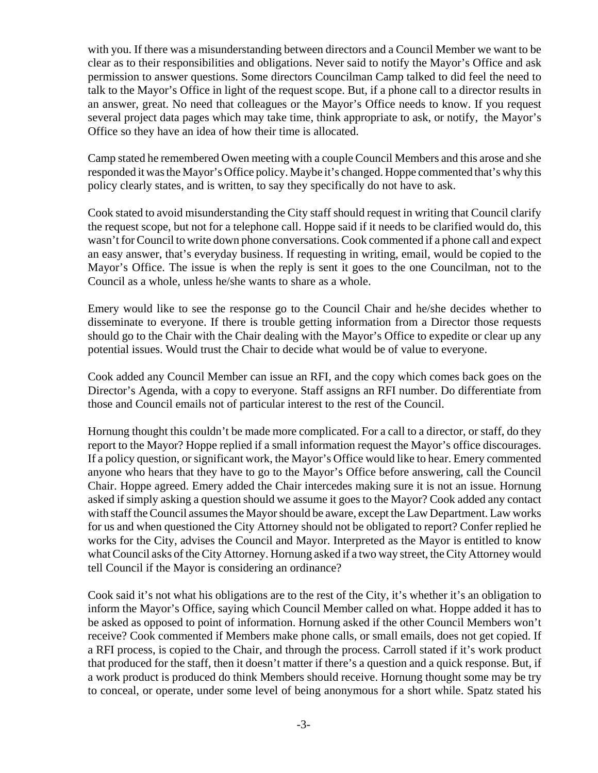with you. If there was a misunderstanding between directors and a Council Member we want to be clear as to their responsibilities and obligations. Never said to notify the Mayor's Office and ask permission to answer questions. Some directors Councilman Camp talked to did feel the need to talk to the Mayor's Office in light of the request scope. But, if a phone call to a director results in an answer, great. No need that colleagues or the Mayor's Office needs to know. If you request several project data pages which may take time, think appropriate to ask, or notify, the Mayor's Office so they have an idea of how their time is allocated.

Camp stated he remembered Owen meeting with a couple Council Members and this arose and she responded it was the Mayor's Office policy. Maybe it's changed. Hoppe commented that's why this policy clearly states, and is written, to say they specifically do not have to ask.

Cook stated to avoid misunderstanding the City staff should request in writing that Council clarify the request scope, but not for a telephone call. Hoppe said if it needs to be clarified would do, this wasn't for Council to write down phone conversations. Cook commented if a phone call and expect an easy answer, that's everyday business. If requesting in writing, email, would be copied to the Mayor's Office. The issue is when the reply is sent it goes to the one Councilman, not to the Council as a whole, unless he/she wants to share as a whole.

Emery would like to see the response go to the Council Chair and he/she decides whether to disseminate to everyone. If there is trouble getting information from a Director those requests should go to the Chair with the Chair dealing with the Mayor's Office to expedite or clear up any potential issues. Would trust the Chair to decide what would be of value to everyone.

Cook added any Council Member can issue an RFI, and the copy which comes back goes on the Director's Agenda, with a copy to everyone. Staff assigns an RFI number. Do differentiate from those and Council emails not of particular interest to the rest of the Council.

Hornung thought this couldn't be made more complicated. For a call to a director, or staff, do they report to the Mayor? Hoppe replied if a small information request the Mayor's office discourages. If a policy question, or significant work, the Mayor's Office would like to hear. Emery commented anyone who hears that they have to go to the Mayor's Office before answering, call the Council Chair. Hoppe agreed. Emery added the Chair intercedes making sure it is not an issue. Hornung asked if simply asking a question should we assume it goes to the Mayor? Cook added any contact with staff the Council assumes the Mayor should be aware, except the Law Department. Law works for us and when questioned the City Attorney should not be obligated to report? Confer replied he works for the City, advises the Council and Mayor. Interpreted as the Mayor is entitled to know what Council asks of the City Attorney. Hornung asked if a two way street, the City Attorney would tell Council if the Mayor is considering an ordinance?

Cook said it's not what his obligations are to the rest of the City, it's whether it's an obligation to inform the Mayor's Office, saying which Council Member called on what. Hoppe added it has to be asked as opposed to point of information. Hornung asked if the other Council Members won't receive? Cook commented if Members make phone calls, or small emails, does not get copied. If a RFI process, is copied to the Chair, and through the process. Carroll stated if it's work product that produced for the staff, then it doesn't matter if there's a question and a quick response. But, if a work product is produced do think Members should receive. Hornung thought some may be try to conceal, or operate, under some level of being anonymous for a short while. Spatz stated his